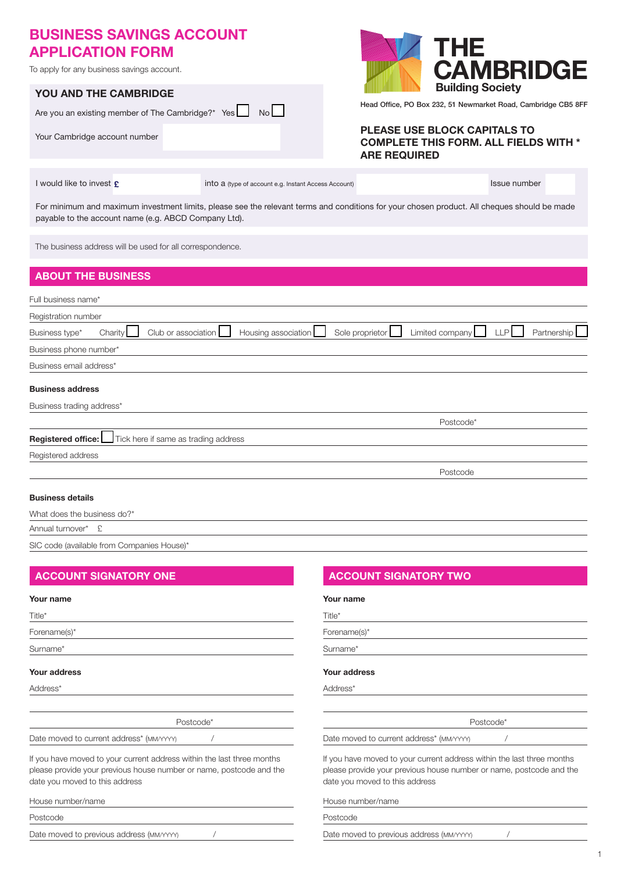# BUSINESS SAVINGS ACCOUNT APPLICATION FORM

To apply for any business savings account.

|                               | <b>YOU AND THE CAMBRIDGE</b> |  |  |  |  |  |
|-------------------------------|------------------------------|--|--|--|--|--|
|                               |                              |  |  |  |  |  |
| Your Cambridge account number |                              |  |  |  |  |  |



Head Office, PO Box 232, 51 Newmarket Road, Cambridge CB5 8FF

## PLEASE USE BLOCK CAPITALS TO COMPLETE THIS FORM. ALL FIELDS WITH \* ARE REQUIRED

I would like to invest  $\epsilon$  into a (type of account e.g. Instant Access Account) Issue number

For minimum and maximum investment limits, please see the relevant terms and conditions for your chosen product. All cheques should be made payable to the account name (e.g. ABCD Company Ltd).

The business address will be used for all correspondence.

| <b>ABOUT THE BUSINESS</b>                                                                                                                  |
|--------------------------------------------------------------------------------------------------------------------------------------------|
| Full business name*                                                                                                                        |
| Registration number                                                                                                                        |
| Club or association<br>Housing association<br>Sole proprietor<br>Limited company<br><b>LLP</b><br>Partnership<br>Charity<br>Business type* |
| Business phone number*                                                                                                                     |
| Business email address*                                                                                                                    |
| <b>Business address</b>                                                                                                                    |
| Business trading address*                                                                                                                  |
| Postcode*                                                                                                                                  |
| <b>Registered office:</b> Tick here if same as trading address                                                                             |
| Registered address                                                                                                                         |
| Postcode                                                                                                                                   |
| <b>Business details</b>                                                                                                                    |
| What does the business do?*                                                                                                                |

Annual turnover\*
£

SIC code (available from Companies House)\*

### Your name

| Title*                                                                                                                                                                          |
|---------------------------------------------------------------------------------------------------------------------------------------------------------------------------------|
| Forename(s)*                                                                                                                                                                    |
| Surname*                                                                                                                                                                        |
| Your address                                                                                                                                                                    |
| Address <sup>*</sup>                                                                                                                                                            |
|                                                                                                                                                                                 |
| Postcode*                                                                                                                                                                       |
| Date moved to current address* (MM/YYYY)                                                                                                                                        |
| If you have moved to your current address within the last three months<br>please provide your previous house number or name, postcode and the<br>date you moved to this address |

House number/name

Postcode

Date moved to previous address (MM/YYYY)  $/$ 

## ACCOUNT SIGNATORY ONE ACCOUNT SIGNATORY TWO

### Your name

Title\*

| Forename(s)* |
|--------------|
|--------------|

Surname\*

### Your address

Address\*

Postcode\*

Date moved to current address<sup>\*</sup> (MM/YYYY) /

If you have moved to your current address within the last three months please provide your previous house number or name, postcode and the date you moved to this address

House number/name

Postcode

Date moved to previous address (MM/YYYY)  $/$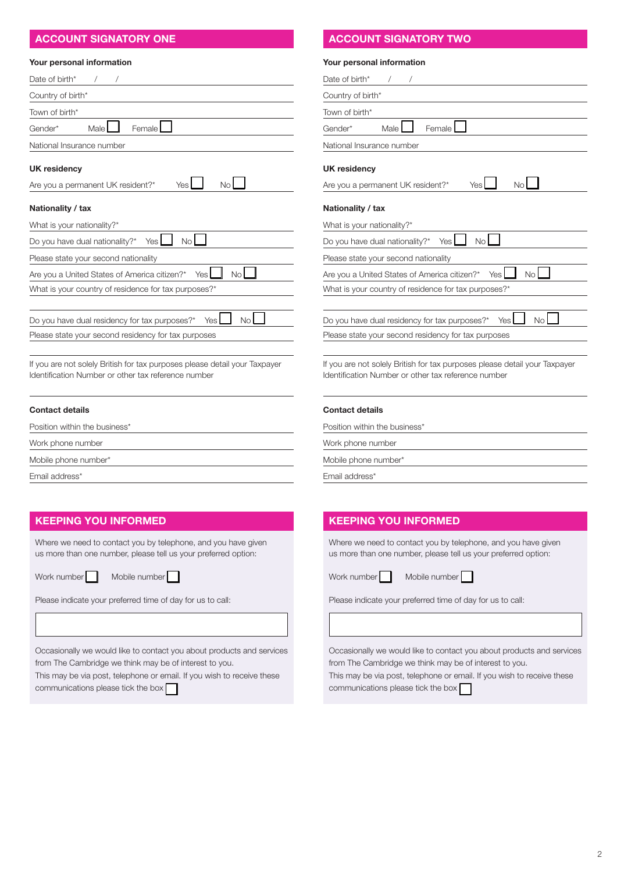| Your personal information                                                                                                         |  |
|-----------------------------------------------------------------------------------------------------------------------------------|--|
| Date of birth*                                                                                                                    |  |
| Country of birth*                                                                                                                 |  |
| Town of birth*                                                                                                                    |  |
| Male<br>Female<br>Gender*                                                                                                         |  |
| National Insurance number                                                                                                         |  |
| UK residency                                                                                                                      |  |
| <b>No</b><br>Yes<br>Are you a permanent UK resident?*                                                                             |  |
| Nationality / tax                                                                                                                 |  |
| What is your nationality?*                                                                                                        |  |
| No<br>Do you have dual nationality?*<br>Yes                                                                                       |  |
| Please state your second nationality                                                                                              |  |
| <b>No</b><br>Are you a United States of America citizen?*<br><b>Yes</b>                                                           |  |
| What is your country of residence for tax purposes?*                                                                              |  |
|                                                                                                                                   |  |
| Do you have dual residency for tax purposes?*<br>Yes I<br>No                                                                      |  |
| Please state your second residency for tax purposes                                                                               |  |
| If you are not solely British for tax purposes please detail your Taxpayer<br>Identification Number or other tax reference number |  |

Position within the business\*

Work phone number

Mobile phone number\*

Email address\*

## KEEPING YOU INFORMED

Where we need to contact you by telephone, and you have given us more than one number, please tell us your preferred option:

Work number  $\Box$  Mobile number  $\Box$ 

| Please indicate your preferred time of day for us to call: |  |
|------------------------------------------------------------|--|
|------------------------------------------------------------|--|

Occasionally we would like to contact you about products and services from The Cambridge we think may be of interest to you.

This may be via post, telephone or email. If you wish to receive these communications please tick the box

## ACCOUNT SIGNATORY ONE ACCOUNT SIGNATORY TWO

### Your personal information

| Date of birth*                                                                                                                    |
|-----------------------------------------------------------------------------------------------------------------------------------|
| Country of birth*                                                                                                                 |
| Town of birth*                                                                                                                    |
| Female<br>Male I<br>Gender*                                                                                                       |
| National Insurance number                                                                                                         |
| <b>UK residency</b><br>Yes<br><b>No</b><br>Are you a permanent UK resident?*                                                      |
| Nationality / tax<br>What is your nationality?*                                                                                   |
| <b>No</b><br>Do you have dual nationality?*<br>Yes I                                                                              |
| Please state your second nationality                                                                                              |
| <b>No</b><br>Are you a United States of America citizen?*<br>Yes I                                                                |
| What is your country of residence for tax purposes?*                                                                              |
| N <sub>o</sub><br>Do you have dual residency for tax purposes?*<br>Yes<br>Please state your second residency for tax purposes     |
|                                                                                                                                   |
| If you are not solely British for tax purposes please detail your Taxpayer<br>Identification Number or other tax reference number |

### Contact details

Position within the business\*

Work phone number

Mobile phone number\*

Email address\*

## KEEPING YOU INFORMED

Where we need to contact you by telephone, and you have given us more than one number, please tell us your preferred option:

Work number Mobile number

Please indicate your preferred time of day for us to call:

Occasionally we would like to contact you about products and services from The Cambridge we think may be of interest to you.

This may be via post, telephone or email. If you wish to receive these communications please tick the box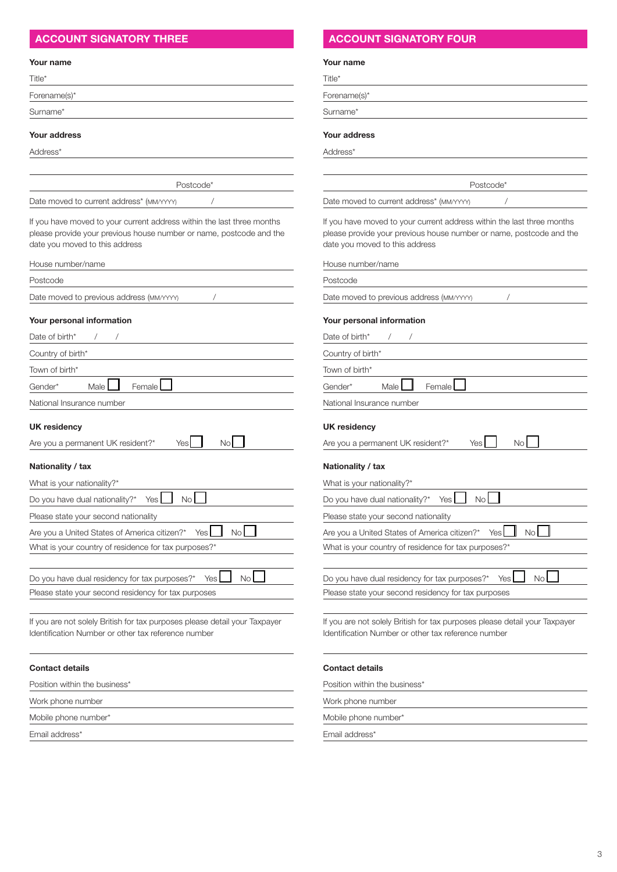## ACCOUNT SIGNATORY THREE ACCOUNT SIGNATORY FOUR

### Your name

| Title*       |  |  |  |
|--------------|--|--|--|
| Forename(s)* |  |  |  |
| Surname*     |  |  |  |
|              |  |  |  |

## Your address

Address\*

Postcode\*

Date moved to current address\* (MM/YYYY) /

If you have moved to your current address within the last three months please provide your previous house number or name, postcode and the date you moved to this address

| House number/name                                                            |
|------------------------------------------------------------------------------|
| Postcode                                                                     |
| Date moved to previous address (MM/YYYY)                                     |
| Your personal information                                                    |
| Date of birth*<br>$\prime$<br>$\sqrt{2}$                                     |
| Country of birth*                                                            |
| Town of birth*                                                               |
| Male I<br>Female<br>Gender*                                                  |
| National Insurance number                                                    |
| <b>UK residency</b><br>Yes<br>Are you a permanent UK resident?*<br><b>No</b> |
| Nationality / tax                                                            |
| What is your nationality?*                                                   |
| No <sub>1</sub><br>Do you have dual nationality?*<br>Yes I                   |
| Please state your second nationality                                         |
| No<br>Are you a United States of America citizen?*<br>Yes                    |
| What is your country of residence for tax purposes?*                         |
|                                                                              |
| <b>No</b><br>Do you have dual residency for tax purposes?*<br>Yes            |

Please state your second residency for tax purposes

If you are not solely British for tax purposes please detail your Taxpayer Identification Number or other tax reference number

### Contact details

Position within the business\*

Work phone number

Mobile phone number\*

Email address\*

### Your name

Title\*

Forename(s)\*

Surname\*

### Your address

Postcode\* Date moved to current address\* (MM/YYYY) /

If you have moved to your current address within the last three months please provide your previous house number or name, postcode and the date you moved to this address

House number/name

Postcode

Date moved to previous address (MM/YYYY)  $/$ 

### Your personal information

| Date of birth*<br>$\prime$<br>$\prime$                                  |
|-------------------------------------------------------------------------|
| Country of birth*                                                       |
| Town of birth*                                                          |
| Male<br>Female<br>Gender*                                               |
| National Insurance number                                               |
| <b>UK residency</b><br>Yes<br>No.<br>Are you a permanent UK resident?*  |
| Nationality / tax<br>What is your nationality?*                         |
| Do you have dual nationality?*<br><b>No</b><br>Yes I                    |
| Please state your second nationality                                    |
| <b>No</b><br><b>Yes</b><br>Are you a United States of America citizen?* |
| What is your country of residence for tax purposes?*                    |
|                                                                         |
| <b>No</b><br>Do you have dual residency for tax purposes?*<br>Yes       |
| Please state your second residency for tax purposes                     |
|                                                                         |

If you are not solely British for tax purposes please detail your Taxpayer Identification Number or other tax reference number

### Contact details

Position within the business\*

Work phone number

Mobile phone number\*

Email address\*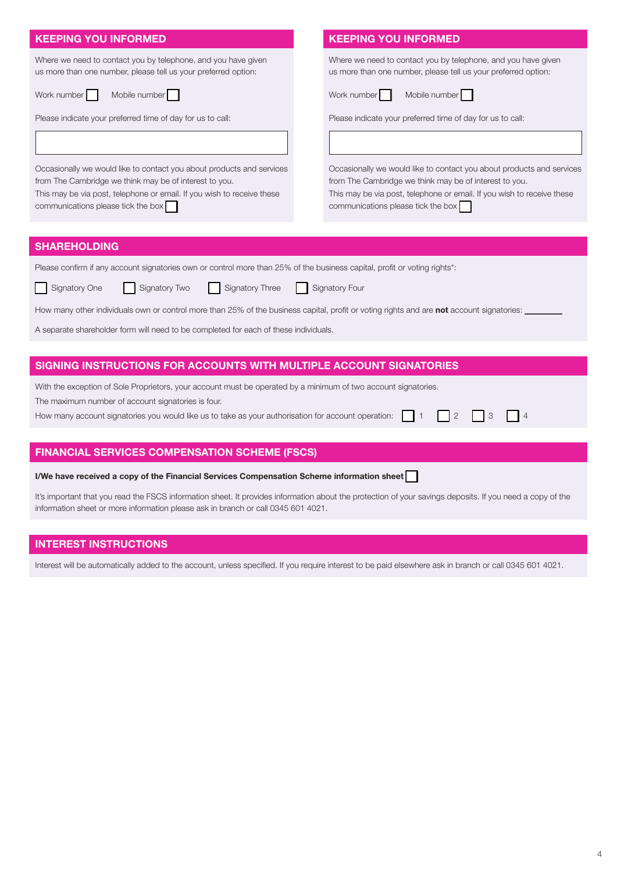## KEEPING YOU INFORMED

| Where we need to contact you by telephone, and you have given  | Wher |
|----------------------------------------------------------------|------|
| us more than one number, please tell us your preferred option: | us m |

Work number Mobile number

Please indicate your preferred time of day for us to call:

Occasionally we would like to contact you about products and services from The Cambridge we think may be of interest to you.

This may be via post, telephone or email. If you wish to receive these communications please tick the box

## KEEPING YOU INFORMED

re we need to contact you by telephone, and you have given ore than one number, please tell us your preferred option:

Work number Mobile number

Please indicate your preferred time of day for us to call:

Occasionally we would like to contact you about products and services from The Cambridge we think may be of interest to you. This may be via post, telephone or email. If you wish to receive these communications please tick the box

## **SHAREHOLDING**

| Please confirm if any account signatories own or control more than 25% of the business capital, profit or voting rights*: |  |  |
|---------------------------------------------------------------------------------------------------------------------------|--|--|
|---------------------------------------------------------------------------------------------------------------------------|--|--|

| Signatory One | Signatory Two | Signatory Three |
|---------------|---------------|-----------------|

How many other individuals own or control more than 25% of the business capital, profit or voting rights and are not account signatories:

Signatory Four

A separate shareholder form will need to be completed for each of these individuals.

### SIGNING INSTRUCTIONS FOR ACCOUNTS WITH MULTIPLE ACCOUNT SIGNATORIES

With the exception of Sole Proprietors, your account must be operated by a minimum of two account signatories.

The maximum number of account signatories is four.

How many account signatories you would like us to take as your authorisation for account operation:  $\Box$  1  $\Box$  2  $\Box$  3  $\Box$  4

### FINANCIAL SERVICES COMPENSATION SCHEME (FSCS)

| I/We have received a copy of the Financial Services Compensation Scheme information sheet |  |
|-------------------------------------------------------------------------------------------|--|
|-------------------------------------------------------------------------------------------|--|

It's important that you read the FSCS information sheet. It provides information about the protection of your savings deposits. If you need a copy of the information sheet or more information please ask in branch or call 0345 601 4021.

### INTEREST INSTRUCTIONS

Interest will be automatically added to the account, unless specified. If you require interest to be paid elsewhere ask in branch or call 0345 601 4021.